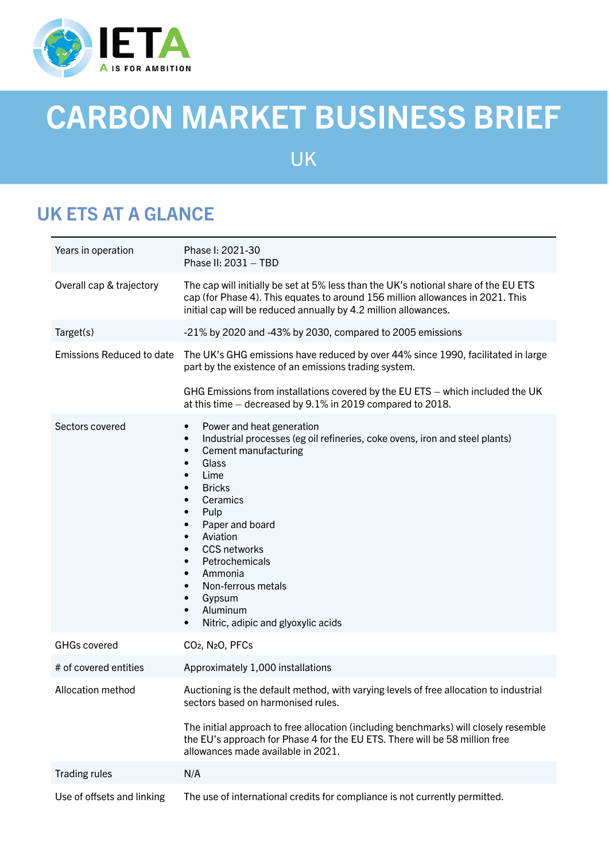

# CARBON MARKET BUSINESS BRIEF

UK

# UK ETS AT A GLANCE

| Years in operation         | Phase I: 2021-30<br>Phase II: $2031 - TBD$                                                                                                                                                                                                                                                                                                                                                                                                                                                                                                                                                      |
|----------------------------|-------------------------------------------------------------------------------------------------------------------------------------------------------------------------------------------------------------------------------------------------------------------------------------------------------------------------------------------------------------------------------------------------------------------------------------------------------------------------------------------------------------------------------------------------------------------------------------------------|
| Overall cap & trajectory   | The cap will initially be set at 5% less than the UK's notional share of the EU ETS<br>cap (for Phase 4). This equates to around 156 million allowances in 2021. This<br>initial cap will be reduced annually by 4.2 million allowances.                                                                                                                                                                                                                                                                                                                                                        |
| Target(s)                  | -21% by 2020 and -43% by 2030, compared to 2005 emissions                                                                                                                                                                                                                                                                                                                                                                                                                                                                                                                                       |
| Emissions Reduced to date  | The UK's GHG emissions have reduced by over 44% since 1990, facilitated in large<br>part by the existence of an emissions trading system.                                                                                                                                                                                                                                                                                                                                                                                                                                                       |
|                            | GHG Emissions from installations covered by the EU ETS - which included the UK<br>at this time – decreased by 9.1% in 2019 compared to 2018.                                                                                                                                                                                                                                                                                                                                                                                                                                                    |
| Sectors covered            | Power and heat generation<br>$\bullet$<br>Industrial processes (eg oil refineries, coke ovens, iron and steel plants)<br>$\bullet$<br><b>Cement manufacturing</b><br>$\bullet$<br>Glass<br>$\bullet$<br>Lime<br>$\bullet$<br><b>Bricks</b><br>$\bullet$<br>Ceramics<br>$\bullet$<br>Pulp<br>$\bullet$<br>Paper and board<br>$\bullet$<br>Aviation<br>$\bullet$<br><b>CCS networks</b><br>$\bullet$<br>Petrochemicals<br>$\bullet$<br>Ammonia<br>$\bullet$<br>Non-ferrous metals<br>$\bullet$<br>Gypsum<br>$\bullet$<br>Aluminum<br>$\bullet$<br>Nitric, adipic and glyoxylic acids<br>$\bullet$ |
| <b>GHGs covered</b>        | CO <sub>2</sub> , N <sub>2</sub> O <sub>, PFCs</sub>                                                                                                                                                                                                                                                                                                                                                                                                                                                                                                                                            |
| # of covered entities      | Approximately 1,000 installations                                                                                                                                                                                                                                                                                                                                                                                                                                                                                                                                                               |
| <b>Allocation method</b>   | Auctioning is the default method, with varying levels of free allocation to industrial<br>sectors based on harmonised rules.                                                                                                                                                                                                                                                                                                                                                                                                                                                                    |
|                            | The initial approach to free allocation (including benchmarks) will closely resemble<br>the EU's approach for Phase 4 for the EU ETS. There will be 58 million free<br>allowances made available in 2021.                                                                                                                                                                                                                                                                                                                                                                                       |
| <b>Trading rules</b>       | N/A                                                                                                                                                                                                                                                                                                                                                                                                                                                                                                                                                                                             |
| Use of offsets and linking | The use of international credits for compliance is not currently permitted.                                                                                                                                                                                                                                                                                                                                                                                                                                                                                                                     |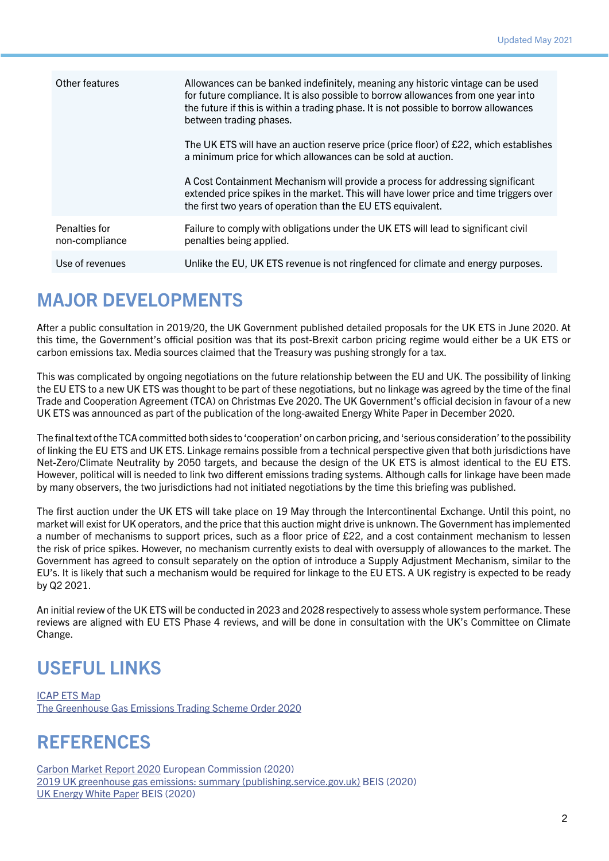| Other features                  | Allowances can be banked indefinitely, meaning any historic vintage can be used<br>for future compliance. It is also possible to borrow allowances from one year into<br>the future if this is within a trading phase. It is not possible to borrow allowances<br>between trading phases.<br>The UK ETS will have an auction reserve price (price floor) of £22, which establishes<br>a minimum price for which allowances can be sold at auction. |
|---------------------------------|----------------------------------------------------------------------------------------------------------------------------------------------------------------------------------------------------------------------------------------------------------------------------------------------------------------------------------------------------------------------------------------------------------------------------------------------------|
|                                 | A Cost Containment Mechanism will provide a process for addressing significant<br>extended price spikes in the market. This will have lower price and time triggers over<br>the first two years of operation than the EU ETS equivalent.                                                                                                                                                                                                           |
| Penalties for<br>non-compliance | Failure to comply with obligations under the UK ETS will lead to significant civil<br>penalties being applied.                                                                                                                                                                                                                                                                                                                                     |
| Use of revenues                 | Unlike the EU, UK ETS revenue is not ringfenced for climate and energy purposes.                                                                                                                                                                                                                                                                                                                                                                   |

#### MAJOR DEVELOPMENTS

After a public consultation in 2019/20, the UK Government published detailed proposals for the UK ETS in June 2020. At this time, the Government's official position was that its post-Brexit carbon pricing regime would either be a UK ETS or carbon emissions tax. Media sources claimed that the Treasury was pushing strongly for a tax.

This was complicated by ongoing negotiations on the future relationship between the EU and UK. The possibility of linking the EU ETS to a new UK ETS was thought to be part of these negotiations, but no linkage was agreed by the time of the final Trade and Cooperation Agreement (TCA) on Christmas Eve 2020. The UK Government's official decision in favour of a new UK ETS was announced as part of the publication of the long-awaited Energy White Paper in December 2020.

The final text of the TCA committed both sides to 'cooperation' on carbon pricing, and 'serious consideration' to the possibility of linking the EU ETS and UK ETS. Linkage remains possible from a technical perspective given that both jurisdictions have Net-Zero/Climate Neutrality by 2050 targets, and because the design of the UK ETS is almost identical to the EU ETS. However, political will is needed to link two different emissions trading systems. Although calls for linkage have been made by many observers, the two jurisdictions had not initiated negotiations by the time this briefing was published.

The first auction under the UK ETS will take place on 19 May through the Intercontinental Exchange. Until this point, no market will exist for UK operators, and the price that this auction might drive is unknown. The Government has implemented a number of mechanisms to support prices, such as a floor price of £22, and a cost containment mechanism to lessen the risk of price spikes. However, no mechanism currently exists to deal with oversupply of allowances to the market. The Government has agreed to consult separately on the option of introduce a Supply Adjustment Mechanism, similar to the EU's. It is likely that such a mechanism would be required for linkage to the EU ETS. A UK registry is expected to be ready by Q2 2021.

An initial review of the UK ETS will be conducted in 2023 and 2028 respectively to assess whole system performance. These reviews are aligned with EU ETS Phase 4 reviews, and will be done in consultation with the UK's Committee on Climate Change.

# USEFUL LINKS

[ICAP ETS Map](https://d.docs.live.net/91f83e726bcfdc9d/Documents/koo work/freelance/2021/IETA 2021/Business Briefs/drafts/icapcarbonaction.com/en/ets-map?etsid=43) [The Greenhouse Gas Emissions Trading Scheme Order 2020](https://www.legislation.gov.uk/ukdsi/2020/9780348209761/contents)

## **REFERENCES**

[Carbon Market Report 2020](https://ec.europa.eu/clima/sites/clima/files/news/docs/com_2020_740_en.pdf) European Commission (2020) [2019 UK greenhouse gas emissions: summary \(publishing.service.gov.uk\)](https://assets.publishing.service.gov.uk/government/uploads/system/uploads/attachment_data/file/957687/2019_Final_emissions_statistics_one_page_summary.pdf) BEIS (2020) [UK Energy White Paper](https://assets.publishing.service.gov.uk/government/uploads/system/uploads/attachment_data/file/945899/201216_BEIS_EWP_Command_Paper_Accessible.pdf) BEIS (2020)